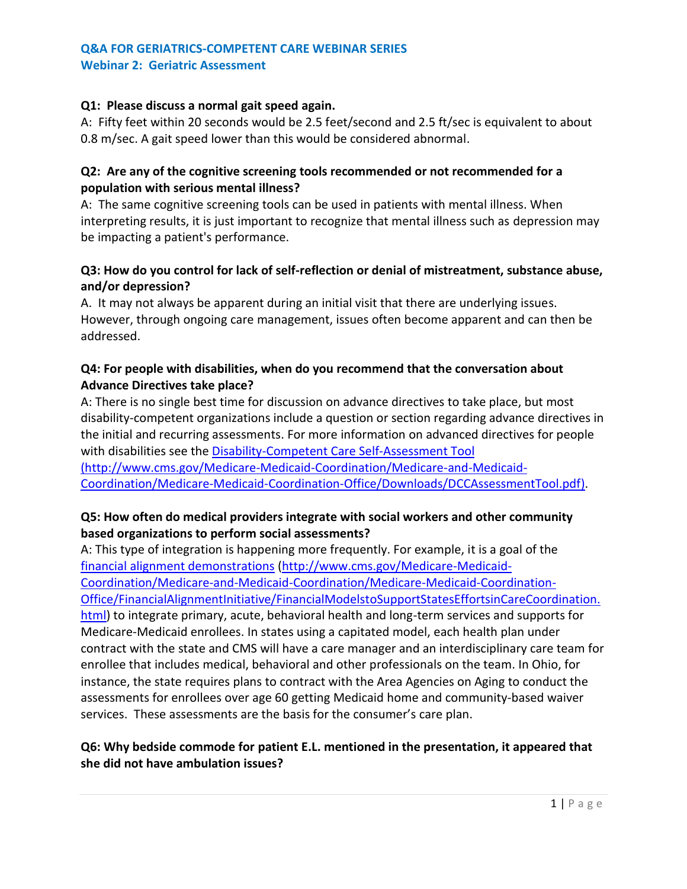#### **Q1: Please discuss a normal gait speed again.**

A: Fifty feet within 20 seconds would be 2.5 feet/second and 2.5 ft/sec is equivalent to about 0.8 m/sec. A gait speed lower than this would be considered abnormal.

#### **Q2: Are any of the cognitive screening tools recommended or not recommended for a population with serious mental illness?**

A: The same cognitive screening tools can be used in patients with mental illness. When interpreting results, it is just important to recognize that mental illness such as depression may be impacting a patient's performance.

# **Q3: How do you control for lack of self-reflection or denial of mistreatment, substance abuse, and/or depression?**

A. It may not always be apparent during an initial visit that there are underlying issues. However, through ongoing care management, issues often become apparent and can then be addressed.

## **Q4: For people with disabilities, when do you recommend that the conversation about Advance Directives take place?**

A: There is no single best time for discussion on advance directives to take place, but most disability-competent organizations include a question or section regarding advance directives in the initial and recurring assessments. For more information on advanced directives for people with disabilities see the [Disability-Competent Care Self-Assessment Tool](http://www.cms.gov/Medicare-Medicaid-Coordination/Medicare-and-Medicaid-Coordination/Medicare-Medicaid-Coordination-Office/Downloads/DCCAssessmentTool.pdf) [\(http://www.cms.gov/Medicare-Medicaid-Coordination/Medicare-and-Medicaid-](http://www.cms.gov/Medicare-Medicaid-Coordination/Medicare-and-Medicaid-Coordination/Medicare-Medicaid-Coordination-Office/Downloads/DCCAssessmentTool.pdf)[Coordination/Medicare-Medicaid-Coordination-Office/Downloads/DCCAssessmentTool.pdf\)](http://www.cms.gov/Medicare-Medicaid-Coordination/Medicare-and-Medicaid-Coordination/Medicare-Medicaid-Coordination-Office/Downloads/DCCAssessmentTool.pdf).

### **Q5: How often do medical providers integrate with social workers and other community based organizations to perform social assessments?**

A: This type of integration is happening more frequently. For example, it is a goal of the [financial alignment demonstrations](http://www.cms.gov/Medicare-Medicaid-Coordination/Medicare-and-Medicaid-Coordination/Medicare-Medicaid-Coordination-Office/FinancialAlignmentInitiative/FinancialModelstoSupportStatesEffortsinCareCoordination.html) [\(http://www.cms.gov/Medicare-Medicaid-](http://www.cms.gov/Medicare-Medicaid-Coordination/Medicare-and-Medicaid-Coordination/Medicare-Medicaid-Coordination-Office/FinancialAlignmentInitiative/FinancialModelstoSupportStatesEffortsinCareCoordination.html)[Coordination/Medicare-and-Medicaid-Coordination/Medicare-Medicaid-Coordination-](http://www.cms.gov/Medicare-Medicaid-Coordination/Medicare-and-Medicaid-Coordination/Medicare-Medicaid-Coordination-Office/FinancialAlignmentInitiative/FinancialModelstoSupportStatesEffortsinCareCoordination.html)[Office/FinancialAlignmentInitiative/FinancialModelstoSupportStatesEffortsinCareCoordination.](http://www.cms.gov/Medicare-Medicaid-Coordination/Medicare-and-Medicaid-Coordination/Medicare-Medicaid-Coordination-Office/FinancialAlignmentInitiative/FinancialModelstoSupportStatesEffortsinCareCoordination.html) [html\)](http://www.cms.gov/Medicare-Medicaid-Coordination/Medicare-and-Medicaid-Coordination/Medicare-Medicaid-Coordination-Office/FinancialAlignmentInitiative/FinancialModelstoSupportStatesEffortsinCareCoordination.html) to integrate primary, acute, behavioral health and long-term services and supports for Medicare-Medicaid enrollees. In states using a capitated model, each health plan under contract with the state and CMS will have a care manager and an interdisciplinary care team for enrollee that includes medical, behavioral and other professionals on the team. In Ohio, for instance, the state requires plans to contract with the Area Agencies on Aging to conduct the assessments for enrollees over age 60 getting Medicaid home and community-based waiver services. These assessments are the basis for the consumer's care plan.

# **Q6: Why bedside commode for patient E.L. mentioned in the presentation, it appeared that she did not have ambulation issues?**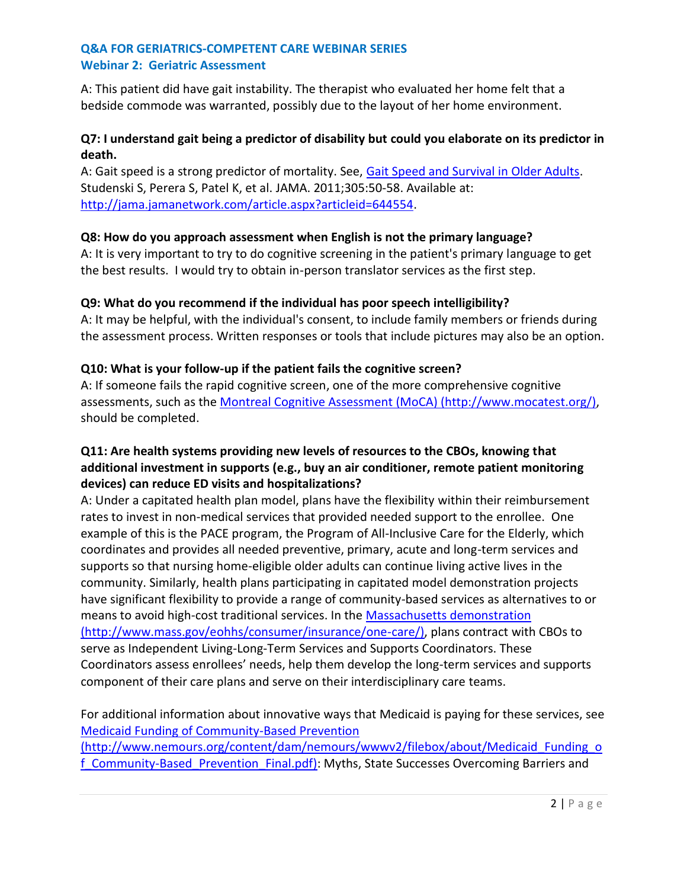### **Q&A FOR GERIATRICS-COMPETENT CARE WEBINAR SERIES Webinar 2: Geriatric Assessment**

A: This patient did have gait instability. The therapist who evaluated her home felt that a bedside commode was warranted, possibly due to the layout of her home environment.

## **Q7: I understand gait being a predictor of disability but could you elaborate on its predictor in death.**

A: Gait speed is a strong predictor of mortality. See, [Gait Speed and Survival in Older Adults.](http://jama.jamanetwork.com/article.aspx?articleid=644554) Studenski S, Perera S, Patel K, et al. JAMA. 2011;305:50-58. Available at: [http://jama.jamanetwork.com/article.aspx?articleid=644554.](http://jama.jamanetwork.com/article.aspx?articleid=644554)

# **Q8: How do you approach assessment when English is not the primary language?**

A: It is very important to try to do cognitive screening in the patient's primary language to get the best results. I would try to obtain in-person translator services as the first step.

# **Q9: What do you recommend if the individual has poor speech intelligibility?**

A: It may be helpful, with the individual's consent, to include family members or friends during the assessment process. Written responses or tools that include pictures may also be an option.

# **Q10: What is your follow-up if the patient fails the cognitive screen?**

A: If someone fails the rapid cognitive screen, one of the more comprehensive cognitive assessments, such as the [Montreal Cognitive Assessment \(MoCA\)](http://www.mocatest.org/) (http://www.mocatest.org/), should be completed.

# **Q11: Are health systems providing new levels of resources to the CBOs, knowing that additional investment in supports (e.g., buy an air conditioner, remote patient monitoring devices) can reduce ED visits and hospitalizations?**

A: Under a capitated health plan model, plans have the flexibility within their reimbursement rates to invest in non-medical services that provided needed support to the enrollee. One example of this is the PACE program, the Program of All-Inclusive Care for the Elderly, which coordinates and provides all needed preventive, primary, acute and long-term services and supports so that nursing home-eligible older adults can continue living active lives in the community. Similarly, health plans participating in capitated model demonstration projects have significant flexibility to provide a range of community-based services as alternatives to or means to avoid high-cost traditional services. In the [Massachusetts demonstration](http://www.mass.gov/eohhs/consumer/insurance/one-care/) (http://www.mass.gov/eohhs/consumer/insurance/one-care/), plans contract with CBOs to serve as Independent Living-Long-Term Services and Supports Coordinators. These Coordinators assess enrollees' needs, help them develop the long-term services and supports component of their care plans and serve on their interdisciplinary care teams.

For additional information about innovative ways that Medicaid is paying for these services, see [Medicaid Funding of Community-Based Prevention](http://www.nemours.org/content/dam/nemours/wwwv2/filebox/about/Medicaid_Funding_of_Community-Based_Prevention_Final.pdf) (http://www.nemours.org/content/dam/nemours/wwwv2/filebox/about/Medicaid\_Funding\_o f Community-Based Prevention Final.pdf): Myths, State Successes Overcoming Barriers and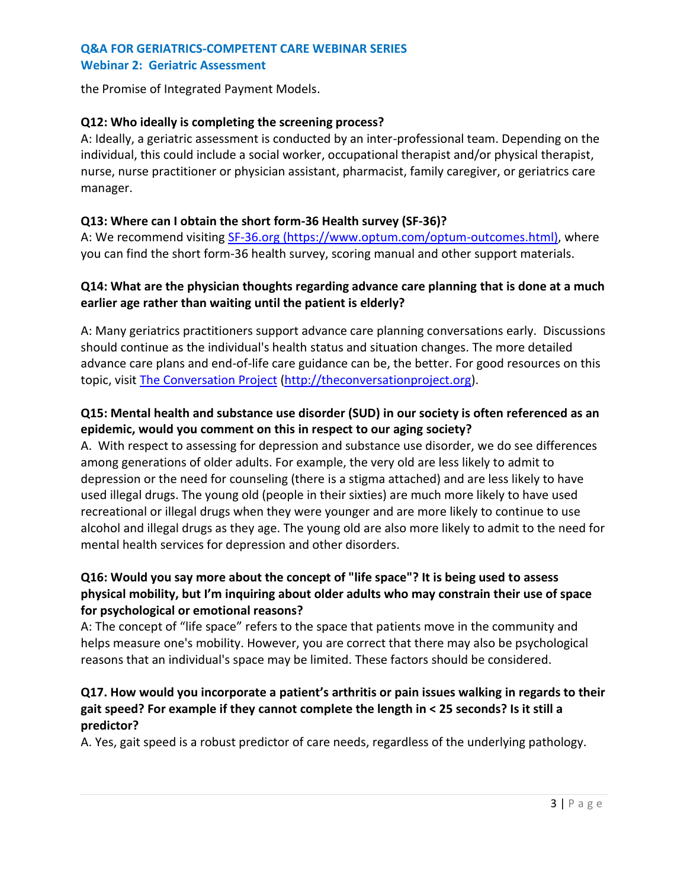#### **Q&A FOR GERIATRICS-COMPETENT CARE WEBINAR SERIES Webinar 2: Geriatric Assessment**

the Promise of Integrated Payment Models.

#### **Q12: Who ideally is completing the screening process?**

A: Ideally, a geriatric assessment is conducted by an inter-professional team. Depending on the individual, this could include a social worker, occupational therapist and/or physical therapist, nurse, nurse practitioner or physician assistant, pharmacist, family caregiver, or geriatrics care manager.

#### **Q13: Where can I obtain the short form-36 Health survey (SF-36)?**

A: We recommend visiting [SF-36.org](http://sf-36.org/) (https://www.optum.com/optum-outcomes.html), where you can find the short form-36 health survey, scoring manual and other support materials.

#### **Q14: What are the physician thoughts regarding advance care planning that is done at a much earlier age rather than waiting until the patient is elderly?**

A: Many geriatrics practitioners support advance care planning conversations early. Discussions should continue as the individual's health status and situation changes. The more detailed advance care plans and end-of-life care guidance can be, the better. For good resources on this topic, visit [The Conversation Project](http://theconversationproject.org/) [\(http://theconversationproject.org\)](http://theconversationproject.org/).

## **Q15: Mental health and substance use disorder (SUD) in our society is often referenced as an epidemic, would you comment on this in respect to our aging society?**

A. With respect to assessing for depression and substance use disorder, we do see differences among generations of older adults. For example, the very old are less likely to admit to depression or the need for counseling (there is a stigma attached) and are less likely to have used illegal drugs. The young old (people in their sixties) are much more likely to have used recreational or illegal drugs when they were younger and are more likely to continue to use alcohol and illegal drugs as they age. The young old are also more likely to admit to the need for mental health services for depression and other disorders.

# **Q16: Would you say more about the concept of "life space"? It is being used to assess physical mobility, but I'm inquiring about older adults who may constrain their use of space for psychological or emotional reasons?**

A: The concept of "life space" refers to the space that patients move in the community and helps measure one's mobility. However, you are correct that there may also be psychological reasons that an individual's space may be limited. These factors should be considered.

# **Q17. How would you incorporate a patient's arthritis or pain issues walking in regards to their gait speed? For example if they cannot complete the length in < 25 seconds? Is it still a predictor?**

A. Yes, gait speed is a robust predictor of care needs, regardless of the underlying pathology.